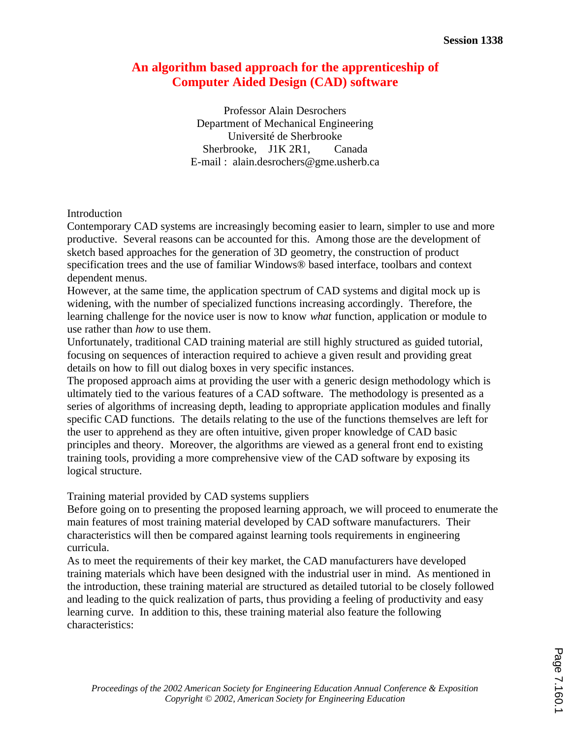# **An algorithm based approach for the apprenticeship of Computer Aided Design (CAD) software**

Professor Alain Desrochers Department of Mechanical Engineering Université de Sherbrooke Sherbrooke, J1K 2R1, Canada E-mail : alain.desrochers@gme.usherb.ca

## Introduction

Contemporary CAD systems are increasingly becoming easier to learn, simpler to use and more productive. Several reasons can be accounted for this. Among those are the development of sketch based approaches for the generation of 3D geometry, the construction of product specification trees and the use of familiar Windows® based interface, toolbars and context dependent menus.

However, at the same time, the application spectrum of CAD systems and digital mock up is widening, with the number of specialized functions increasing accordingly. Therefore, the learning challenge for the novice user is now to know *what* function, application or module to use rather than *how* to use them.

Unfortunately, traditional CAD training material are still highly structured as guided tutorial, focusing on sequences of interaction required to achieve a given result and providing great details on how to fill out dialog boxes in very specific instances.

The proposed approach aims at providing the user with a generic design methodology which is ultimately tied to the various features of a CAD software. The methodology is presented as a series of algorithms of increasing depth, leading to appropriate application modules and finally specific CAD functions. The details relating to the use of the functions themselves are left for the user to apprehend as they are often intuitive, given proper knowledge of CAD basic principles and theory. Moreover, the algorithms are viewed as a general front end to existing training tools, providing a more comprehensive view of the CAD software by exposing its logical structure.

Training material provided by CAD systems suppliers

Before going on to presenting the proposed learning approach, we will proceed to enumerate the main features of most training material developed by CAD software manufacturers. Their characteristics will then be compared against learning tools requirements in engineering curricula.

As to meet the requirements of their key market, the CAD manufacturers have developed training materials which have been designed with the industrial user in mind. As mentioned in the introduction, these training material are structured as detailed tutorial to be closely followed and leading to the quick realization of parts, thus providing a feeling of productivity and easy learning curve. In addition to this, these training material also feature the following characteristics: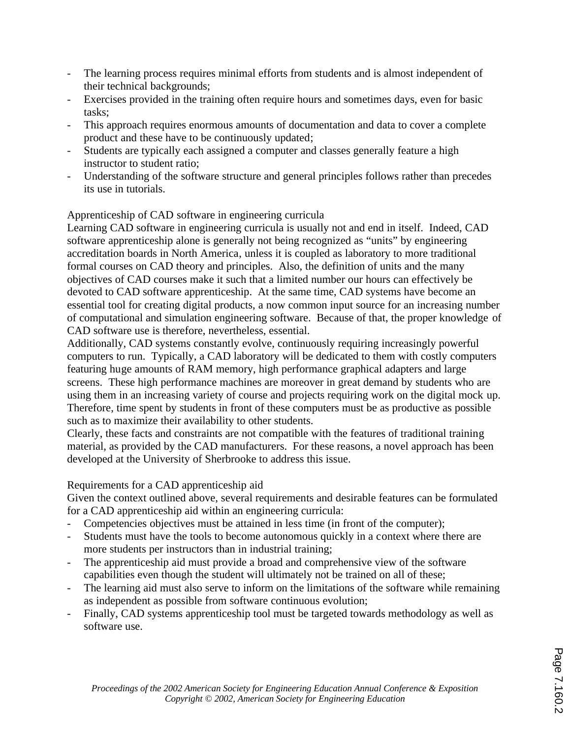- The learning process requires minimal efforts from students and is almost independent of their technical backgrounds;
- Exercises provided in the training often require hours and sometimes days, even for basic tasks;
- This approach requires enormous amounts of documentation and data to cover a complete product and these have to be continuously updated;
- Students are typically each assigned a computer and classes generally feature a high instructor to student ratio;
- Understanding of the software structure and general principles follows rather than precedes its use in tutorials.

# Apprenticeship of CAD software in engineering curricula

Learning CAD software in engineering curricula is usually not and end in itself. Indeed, CAD software apprenticeship alone is generally not being recognized as "units" by engineering accreditation boards in North America, unless it is coupled as laboratory to more traditional formal courses on CAD theory and principles. Also, the definition of units and the many objectives of CAD courses make it such that a limited number our hours can effectively be devoted to CAD software apprenticeship. At the same time, CAD systems have become an essential tool for creating digital products, a now common input source for an increasing number of computational and simulation engineering software. Because of that, the proper knowledge of CAD software use is therefore, nevertheless, essential.

Additionally, CAD systems constantly evolve, continuously requiring increasingly powerful computers to run. Typically, a CAD laboratory will be dedicated to them with costly computers featuring huge amounts of RAM memory, high performance graphical adapters and large screens. These high performance machines are moreover in great demand by students who are using them in an increasing variety of course and projects requiring work on the digital mock up. Therefore, time spent by students in front of these computers must be as productive as possible such as to maximize their availability to other students.

Clearly, these facts and constraints are not compatible with the features of traditional training material, as provided by the CAD manufacturers. For these reasons, a novel approach has been developed at the University of Sherbrooke to address this issue.

# Requirements for a CAD apprenticeship aid

Given the context outlined above, several requirements and desirable features can be formulated for a CAD apprenticeship aid within an engineering curricula:

- Competencies objectives must be attained in less time (in front of the computer);
- Students must have the tools to become autonomous quickly in a context where there are more students per instructors than in industrial training;
- The apprenticeship aid must provide a broad and comprehensive view of the software capabilities even though the student will ultimately not be trained on all of these;
- The learning aid must also serve to inform on the limitations of the software while remaining as independent as possible from software continuous evolution;
- Finally, CAD systems apprenticeship tool must be targeted towards methodology as well as software use.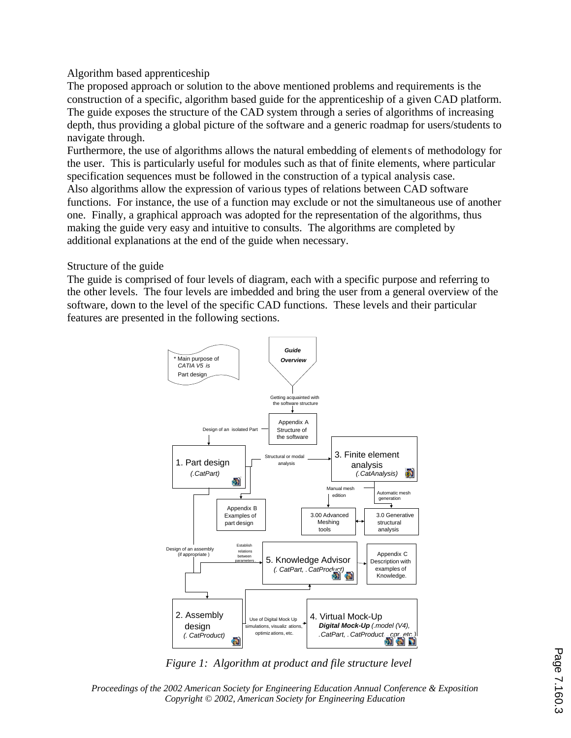# Algorithm based apprenticeship

The proposed approach or solution to the above mentioned problems and requirements is the construction of a specific, algorithm based guide for the apprenticeship of a given CAD platform. The guide exposes the structure of the CAD system through a series of algorithms of increasing depth, thus providing a global picture of the software and a generic roadmap for users/students to navigate through.

Furthermore, the use of algorithms allows the natural embedding of elements of methodology for the user. This is particularly useful for modules such as that of finite elements, where particular specification sequences must be followed in the construction of a typical analysis case. Also algorithms allow the expression of various types of relations between CAD software functions. For instance, the use of a function may exclude or not the simultaneous use of another one. Finally, a graphical approach was adopted for the representation of the algorithms, thus making the guide very easy and intuitive to consults. The algorithms are completed by additional explanations at the end of the guide when necessary.

## Structure of the guide

The guide is comprised of four levels of diagram, each with a specific purpose and referring to the other levels. The four levels are imbedded and bring the user from a general overview of the software, down to the level of the specific CAD functions. These levels and their particular features are presented in the following sections.



*Figure 1: Algorithm at product and file structure level*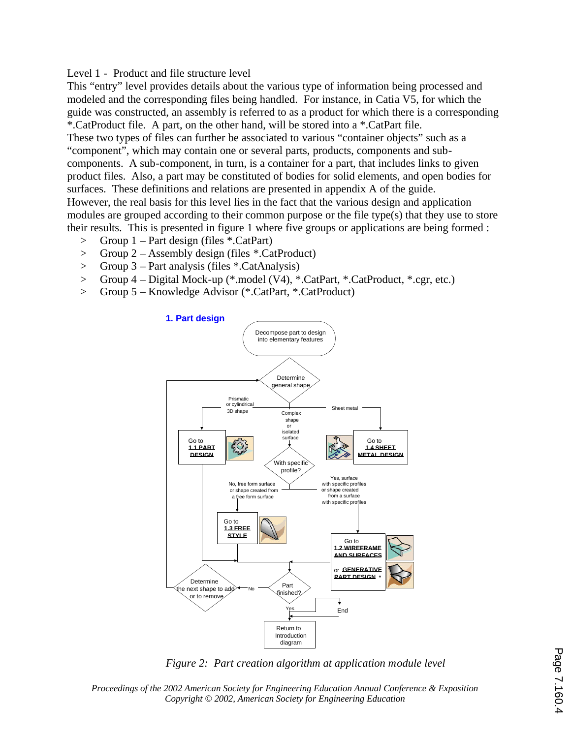## Level 1 - Product and file structure level

This "entry" level provides details about the various type of information being processed and modeled and the corresponding files being handled. For instance, in Catia V5, for which the guide was constructed, an assembly is referred to as a product for which there is a corresponding \*.CatProduct file. A part, on the other hand, will be stored into a \*.CatPart file. These two types of files can further be associated to various "container objects" such as a "component", which may contain one or several parts, products, components and subcomponents. A sub-component, in turn, is a container for a part, that includes links to given product files. Also, a part may be constituted of bodies for solid elements, and open bodies for surfaces. These definitions and relations are presented in appendix A of the guide. However, the real basis for this level lies in the fact that the various design and application modules are grouped according to their common purpose or the file type(s) that they use to store their results. This is presented in figure 1 where five groups or applications are being formed :

- > Group 1 Part design (files \*.CatPart)
- > Group 2 Assembly design (files \*.CatProduct)
- > Group 3 Part analysis (files \*.CatAnalysis)
- > Group 4 Digital Mock-up (\*.model (V4), \*.CatPart, \*.CatProduct, \*.cgr, etc.)
- > Group 5 Knowledge Advisor (\*.CatPart, \*.CatProduct)



*Figure 2: Part creation algorithm at application module level*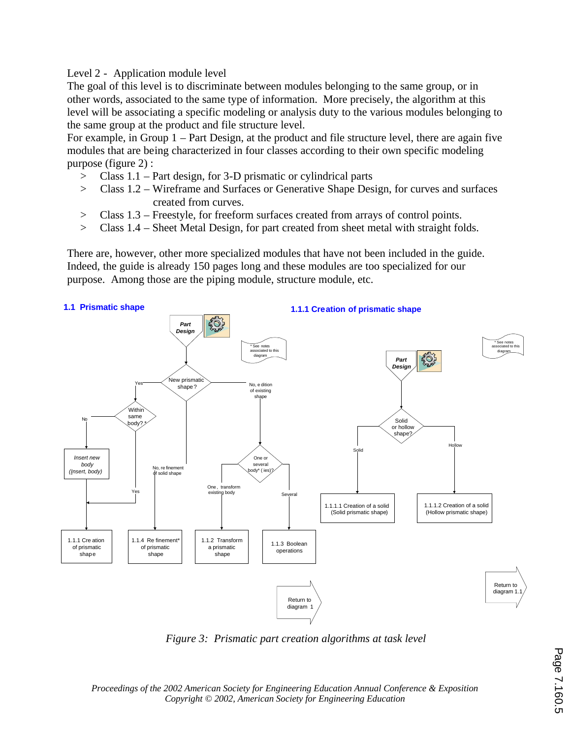Level 2 - Application module level

The goal of this level is to discriminate between modules belonging to the same group, or in other words, associated to the same type of information. More precisely, the algorithm at this level will be associating a specific modeling or analysis duty to the various modules belonging to the same group at the product and file structure level.

For example, in Group 1 – Part Design, at the product and file structure level, there are again five modules that are being characterized in four classes according to their own specific modeling purpose (figure 2) :

- > Class 1.1 Part design, for 3-D prismatic or cylindrical parts
- > Class 1.2 Wireframe and Surfaces or Generative Shape Design, for curves and surfaces created from curves.
- > Class 1.3 Freestyle, for freeform surfaces created from arrays of control points.
- > Class 1.4 Sheet Metal Design, for part created from sheet metal with straight folds.

There are, however, other more specialized modules that have not been included in the guide. Indeed, the guide is already 150 pages long and these modules are too specialized for our purpose. Among those are the piping module, structure module, etc.



*Figure 3: Prismatic part creation algorithms at task level*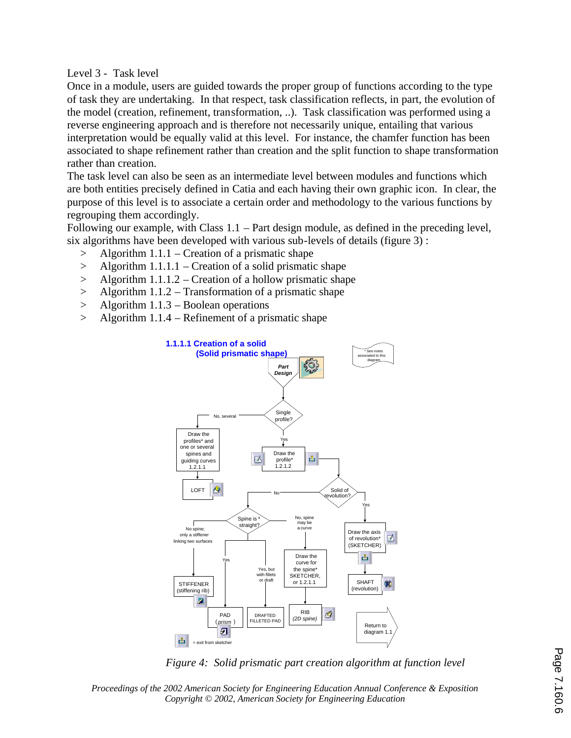Level 3 - Task level

Once in a module, users are guided towards the proper group of functions according to the type of task they are undertaking. In that respect, task classification reflects, in part, the evolution of the model (creation, refinement, transformation, ..). Task classification was performed using a reverse engineering approach and is therefore not necessarily unique, entailing that various interpretation would be equally valid at this level. For instance, the chamfer function has been associated to shape refinement rather than creation and the split function to shape transformation rather than creation.

The task level can also be seen as an intermediate level between modules and functions which are both entities precisely defined in Catia and each having their own graphic icon. In clear, the purpose of this level is to associate a certain order and methodology to the various functions by regrouping them accordingly.

Following our example, with Class  $1.1 - Part$  design module, as defined in the preceding level, six algorithms have been developed with various sub-levels of details (figure 3) :

- $>$  Algorithm 1.1.1 Creation of a prismatic shape
- > Algorithm 1.1.1.1 Creation of a solid prismatic shape
- $>$  Algorithm 1.1.1.2 Creation of a hollow prismatic shape
- > Algorithm 1.1.2 Transformation of a prismatic shape
- > Algorithm 1.1.3 Boolean operations
- > Algorithm 1.1.4 Refinement of a prismatic shape



*Figure 4: Solid prismatic part creation algorithm at function level*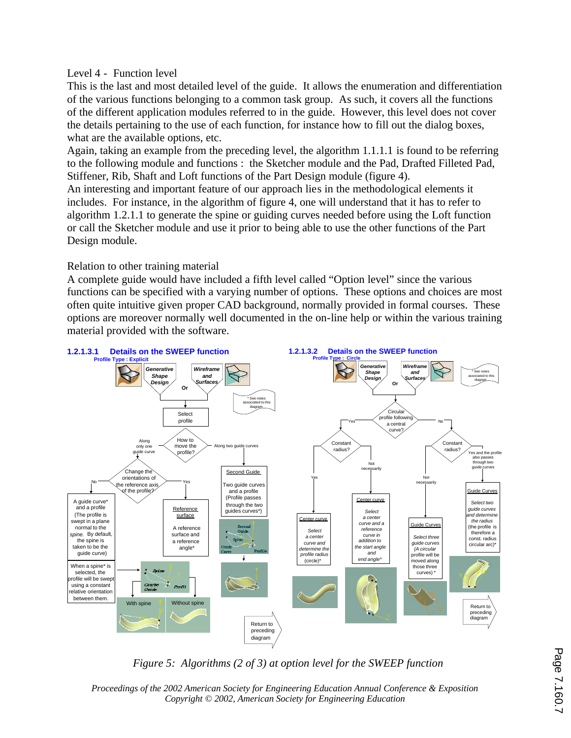## Level 4 - Function level

This is the last and most detailed level of the guide. It allows the enumeration and differentiation of the various functions belonging to a common task group. As such, it covers all the functions of the different application modules referred to in the guide. However, this level does not cover the details pertaining to the use of each function, for instance how to fill out the dialog boxes, what are the available options, etc.

Again, taking an example from the preceding level, the algorithm 1.1.1.1 is found to be referring to the following module and functions : the Sketcher module and the Pad, Drafted Filleted Pad, Stiffener, Rib, Shaft and Loft functions of the Part Design module (figure 4).

An interesting and important feature of our approach lies in the methodological elements it includes. For instance, in the algorithm of figure 4, one will understand that it has to refer to algorithm 1.2.1.1 to generate the spine or guiding curves needed before using the Loft function or call the Sketcher module and use it prior to being able to use the other functions of the Part Design module.

## Relation to other training material

A complete guide would have included a fifth level called "Option level" since the various functions can be specified with a varying number of options. These options and choices are most often quite intuitive given proper CAD background, normally provided in formal courses. These options are moreover normally well documented in the on-line help or within the various training material provided with the software.



*Figure 5: Algorithms (2 of 3) at option level for the SWEEP function*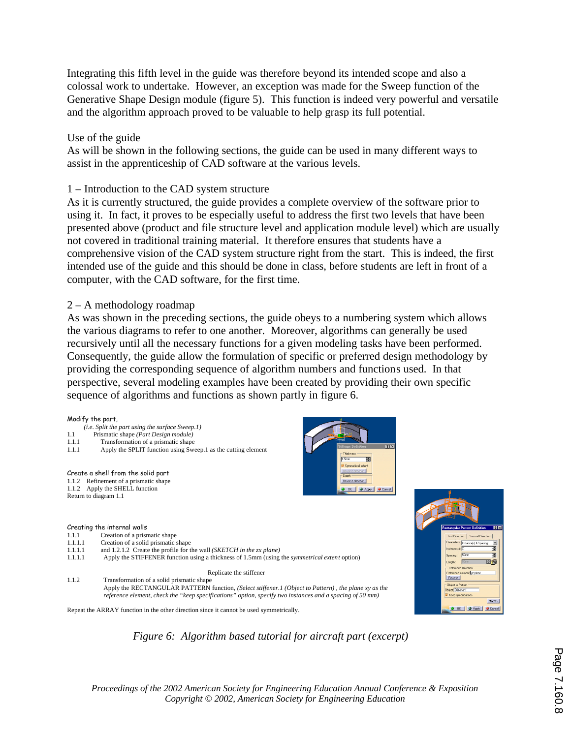Integrating this fifth level in the guide was therefore beyond its intended scope and also a colossal work to undertake. However, an exception was made for the Sweep function of the Generative Shape Design module (figure 5). This function is indeed very powerful and versatile and the algorithm approach proved to be valuable to help grasp its full potential.

## Use of the guide

As will be shown in the following sections, the guide can be used in many different ways to assist in the apprenticeship of CAD software at the various levels.

## 1 – Introduction to the CAD system structure

As it is currently structured, the guide provides a complete overview of the software prior to using it. In fact, it proves to be especially useful to address the first two levels that have been presented above (product and file structure level and application module level) which are usually not covered in traditional training material. It therefore ensures that students have a comprehensive vision of the CAD system structure right from the start. This is indeed, the first intended use of the guide and this should be done in class, before students are left in front of a computer, with the CAD software, for the first time.

### 2 – A methodology roadmap

As was shown in the preceding sections, the guide obeys to a numbering system which allows the various diagrams to refer to one another. Moreover, algorithms can generally be used recursively until all the necessary functions for a given modeling tasks have been performed. Consequently, the guide allow the formulation of specific or preferred design methodology by providing the corresponding sequence of algorithm numbers and functions used. In that perspective, several modeling examples have been created by providing their own specific sequence of algorithms and functions as shown partly in figure 6.

#### Modify the part,

- *(i.e. Split the part using the surface Sweep.1)*
- 1.1 Prismatic shape *(Part Design module)*
- 1.1.1 Transformation of a prismatic shape<br>1.1.1 Apply the SPI IT function using Swe
- Apply the SPLIT function using Sweep.1 as the cutting element

#### Create a shell from the solid part

1.1.2 Refinement of a prismatic shape 1.1.2 Apply the SHELL function Return to diagram 1.1

#### Creating the internal walls

- 1.1.1 Creation of a prismatic shape
- 1.1.1.1 Creation of a solid prismatic shape
- 1.1.1.1 and 1.2.1.2 Create the profile for the wall *(SKETCH in the zx plane)*<br>1.1.1.1 Apply the STIFFENER function using a thickness of 1.5mm *(using)*
- 1.1.1.1 Apply the STIFFENER function using a thickness of 1.5mm (using the *symmetrical extent* option)

#### Replicate the stiffener

1.1.2 Transformation of a solid prismatic shape Apply the RECTANGULAR PATTERN function, *(Select stiffener.1 (Object to Pattern) , the plane xy as the reference element, check the "keep specifications" option, specify two instances and a spacing of 50 mm)*

Repeat the ARRAY function in the other direction since it cannot be used symmetrically.



團

direction O OK | CApply | Cancel

# *Figure 6: Algorithm based tutorial for aircraft part (excerpt)*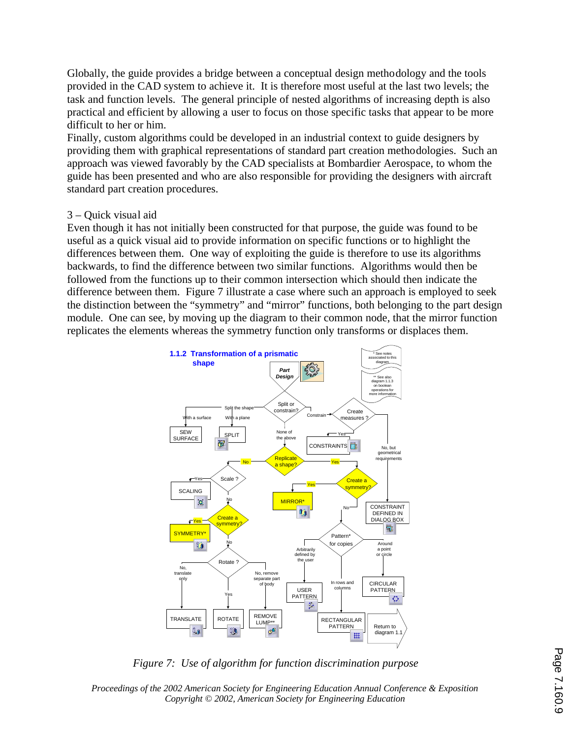Globally, the guide provides a bridge between a conceptual design methodology and the tools provided in the CAD system to achieve it. It is therefore most useful at the last two levels; the task and function levels. The general principle of nested algorithms of increasing depth is also practical and efficient by allowing a user to focus on those specific tasks that appear to be more difficult to her or him.

Finally, custom algorithms could be developed in an industrial context to guide designers by providing them with graphical representations of standard part creation methodologies. Such an approach was viewed favorably by the CAD specialists at Bombardier Aerospace, to whom the guide has been presented and who are also responsible for providing the designers with aircraft standard part creation procedures.

## 3 – Quick visual aid

Even though it has not initially been constructed for that purpose, the guide was found to be useful as a quick visual aid to provide information on specific functions or to highlight the differences between them. One way of exploiting the guide is therefore to use its algorithms backwards, to find the difference between two similar functions. Algorithms would then be followed from the functions up to their common intersection which should then indicate the difference between them. Figure 7 illustrate a case where such an approach is employed to seek the distinction between the "symmetry" and "mirror" functions, both belonging to the part design module. One can see, by moving up the diagram to their common node, that the mirror function replicates the elements whereas the symmetry function only transforms or displaces them.



*Figure 7: Use of algorithm for function discrimination purpose*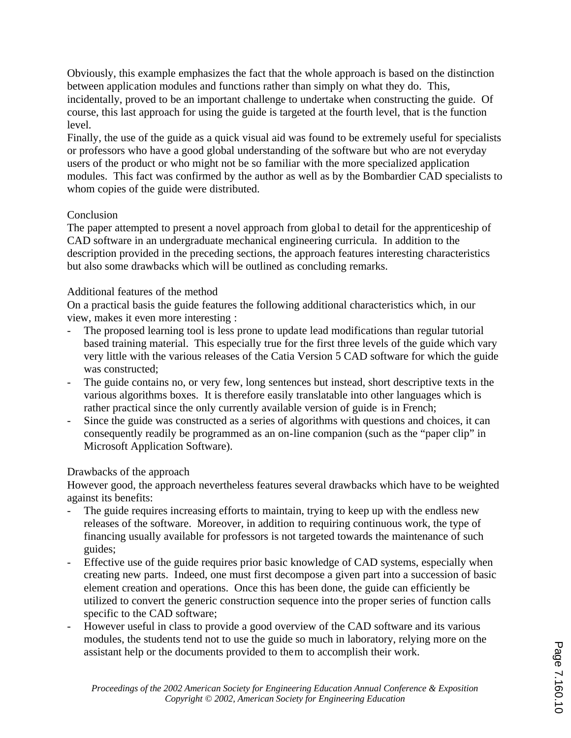Obviously, this example emphasizes the fact that the whole approach is based on the distinction between application modules and functions rather than simply on what they do. This, incidentally, proved to be an important challenge to undertake when constructing the guide. Of course, this last approach for using the guide is targeted at the fourth level, that is the function level.

Finally, the use of the guide as a quick visual aid was found to be extremely useful for specialists or professors who have a good global understanding of the software but who are not everyday users of the product or who might not be so familiar with the more specialized application modules. This fact was confirmed by the author as well as by the Bombardier CAD specialists to whom copies of the guide were distributed.

# Conclusion

The paper attempted to present a novel approach from global to detail for the apprenticeship of CAD software in an undergraduate mechanical engineering curricula. In addition to the description provided in the preceding sections, the approach features interesting characteristics but also some drawbacks which will be outlined as concluding remarks.

# Additional features of the method

On a practical basis the guide features the following additional characteristics which, in our view, makes it even more interesting :

- The proposed learning tool is less prone to update lead modifications than regular tutorial based training material. This especially true for the first three levels of the guide which vary very little with the various releases of the Catia Version 5 CAD software for which the guide was constructed;
- The guide contains no, or very few, long sentences but instead, short descriptive texts in the various algorithms boxes. It is therefore easily translatable into other languages which is rather practical since the only currently available version of guide is in French;
- Since the guide was constructed as a series of algorithms with questions and choices, it can consequently readily be programmed as an on-line companion (such as the "paper clip" in Microsoft Application Software).

# Drawbacks of the approach

However good, the approach nevertheless features several drawbacks which have to be weighted against its benefits:

- The guide requires increasing efforts to maintain, trying to keep up with the endless new releases of the software. Moreover, in addition to requiring continuous work, the type of financing usually available for professors is not targeted towards the maintenance of such guides;
- Effective use of the guide requires prior basic knowledge of CAD systems, especially when creating new parts. Indeed, one must first decompose a given part into a succession of basic element creation and operations. Once this has been done, the guide can efficiently be utilized to convert the generic construction sequence into the proper series of function calls specific to the CAD software;
- However useful in class to provide a good overview of the CAD software and its various modules, the students tend not to use the guide so much in laboratory, relying more on the assistant help or the documents provided to them to accomplish their work.